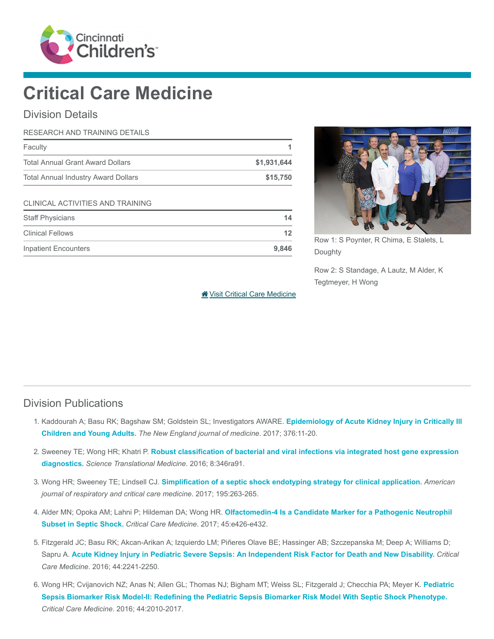

# Critical Care Medicine

## Division Details

| RESEARCH AND TRAINING DETAILS              |             |
|--------------------------------------------|-------------|
| Faculty                                    |             |
| <b>Total Annual Grant Award Dollars</b>    | \$1,931,644 |
| <b>Total Annual Industry Award Dollars</b> | \$15,750    |
| CLINICAL ACTIVITIES AND TRAINING           |             |
| <b>Staff Physicians</b>                    | 14          |
| <b>Clinical Fellows</b>                    | 12          |
| <b>Inpatient Encounters</b>                | 9,846       |



Row 1: S Poynter, R Chima, E Stalets, L Doughty

Row 2: S Standage, A Lautz, M Alder, K Tegtmeyer, H Wong

[Visit Critical Care Medicine](https://www.cincinnatichildrens.org/research/divisions/c/critical)

#### Division Publications

- 1. [Kaddourah A; Basu RK; Bagshaw SM; Goldstein SL; Investigators AWARE.](https://www.ncbi.nlm.nih.gov/pubmed/27959707) Epidemiology of Acute Kidney Injury in Critically III Children and Young Adults. The New England journal of medicine. 2017; 376:11-20.
- 2. Sweeney TE; Wong HR; Khatri P. [Robust classification of bacterial and viral infections via integrated host gene expression](https://www.ncbi.nlm.nih.gov/pubmed/27384347) diagnostics. Science Translational Medicine. 2016; 8:346ra91.
- 3. Wong HR; Sweeney TE; Lindsell CJ. [Simplification of a septic shock endotyping strategy for clinical application.](https://www.ncbi.nlm.nih.gov/pubmed/28084830) American journal of respiratory and critical care medicine. 2017; 195:263-265.
- 4. Alder MN; Opoka AM; Lahni P; Hildeman DA; Wong HR. [Olfactomedin-4 Is a Candidate Marker for a Pathogenic Neutrophil](https://www.ncbi.nlm.nih.gov/pubmed/27635771) Subset in Septic Shock. Critical Care Medicine. 2017; 45:e426-e432.
- 5. Fitzgerald JC; Basu RK; Akcan-Arikan A; Izquierdo LM; Piñeres Olave BE; Hassinger AB; Szczepanska M; Deep A; Williams D; Sapru A. [Acute Kidney Injury in Pediatric Severe Sepsis: An Independent Risk Factor for Death and New Disability.](https://www.ncbi.nlm.nih.gov/pubmed/27513354) Critical Care Medicine. 2016; 44:2241-2250.
- 6. [Wong HR; Cvijanovich NZ; Anas N; Allen GL; Thomas NJ; Bigham MT; Weiss SL; Fitzgerald J; Checchia PA; Meyer K.](https://www.ncbi.nlm.nih.gov/pubmed/27513537) Pediatric Sepsis Biomarker Risk Model-II: Redefining the Pediatric Sepsis Biomarker Risk Model With Septic Shock Phenotype. Critical Care Medicine. 2016; 44:2010-2017.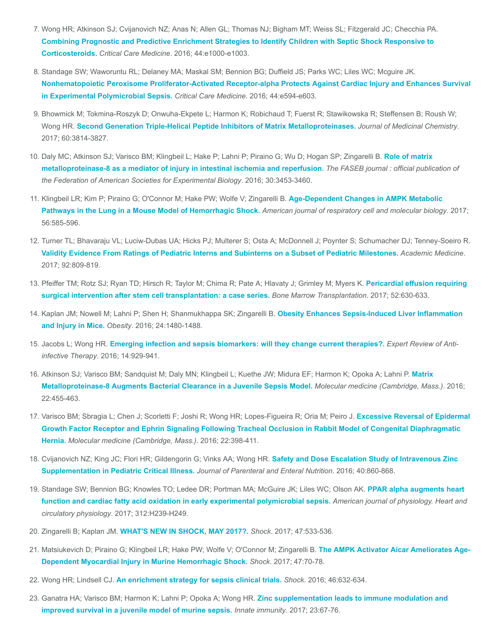- 7. Wong HR; Atkinson SJ; Cvijanovich NZ; Anas N; Allen GL; Thomas NJ; Bigham MT; Weiss SL; Fitzgerald JC; Checchia PA. [Combining Prognostic and Predictive Enrichment Strategies to Identify Children with Septic Shock Responsive to](https://www.ncbi.nlm.nih.gov/pubmed/27270179) Corticosteroids. Critical Care Medicine. 2016; 44:e1000-e1003.
- 8. Standage SW; Waworuntu RL; Delaney MA; Maskal SM; Bennion BG; Duffield JS; Parks WC; Liles WC; Mcguire JK. [Nonhematopoietic Peroxisome Proliferator-Activated Receptor-alpha Protects Against Cardiac Injury and Enhances Survival](https://www.ncbi.nlm.nih.gov/pubmed/26757163) in Experimental Polymicrobial Sepsis. Critical Care Medicine. 2016; 44:e594-e603.
- 9. Bhowmick M; Tokmina-Roszyk D; Onwuha-Ekpete L; Harmon K; Robichaud T; Fuerst R; Stawikowska R; Steffensen B; Roush W; Wong HR. [Second Generation Triple-Helical Peptide Inhibitors of Matrix Metalloproteinases.](https://www.ncbi.nlm.nih.gov/pubmed/28394608) Journal of Medicinal Chemistry. 2017; 60:3814-3827.
- 10. [Daly MC; Atkinson SJ; Varisco BM; Klingbeil L; Hake P; Lahni P; Piraino G; Wu D; Hogan SP; Zingarelli B.](https://www.ncbi.nlm.nih.gov/pubmed/27435263) Role of matrix metalloproteinase-8 as a mediator of injury in intestinal ischemia and reperfusion. The FASEB journal : official publication of the Federation of American Societies for Experimental Biology. 2016; 30:3453-3460.
- 11. [Klingbeil LR; Kim P; Piraino G; O'Connor M; Hake PW; Wolfe V; Zingarelli B.](https://www.ncbi.nlm.nih.gov/pubmed/28085510) Age-Dependent Changes in AMPK Metabolic Pathways in the Lung in a Mouse Model of Hemorrhagic Shock. American journal of respiratory cell and molecular biology. 2017; 56:585-596.
- 12. Turner TL; Bhavaraju VL; Luciw-Dubas UA; Hicks PJ; Multerer S; Osta A; McDonnell J; Poynter S; Schumacher DJ; Tenney-Soeiro R. [Validity Evidence From Ratings of Pediatric Interns and Subinterns on a Subset of Pediatric Milestones.](https://www.ncbi.nlm.nih.gov/pubmed/28225462) Academic Medicine. 2017; 92:809-819.
- 13. [Pfeiffer TM; Rotz SJ; Ryan TD; Hirsch R; Taylor M; Chima R; Pate A; Hlavaty J; Grimley M; Myers K.](https://www.ncbi.nlm.nih.gov/pubmed/27991890) Pericardial effusion requiring surgical intervention after stem cell transplantation: a case series. Bone Marrow Transplantation. 2017; 52:630-633.
- 14. [Kaplan JM; Nowell M; Lahni P; Shen H; Shanmukhappa SK; Zingarelli B.](https://www.ncbi.nlm.nih.gov/pubmed/27172993) Obesity Enhances Sepsis-Induced Liver Inflammation and Injury in Mice. Obesity. 2016; 24:1480-1488.
- 15. Jacobs L; Wong HR. [Emerging infection and sepsis biomarkers: will they change current therapies?.](https://www.ncbi.nlm.nih.gov/pubmed/27533847) Expert Review of Antiinfective Therapy. 2016; 14:929-941.
- 16. [Atkinson SJ; Varisco BM; Sandquist M; Daly MN; Klingbeil L; Kuethe JW; Midura EF; Harmon K; Opoka A; Lahni P.](https://www.ncbi.nlm.nih.gov/pubmed/27506554) Matrix Metalloproteinase-8 Augments Bacterial Clearance in a Juvenile Sepsis Model. Molecular medicine (Cambridge, Mass.). 2016; 22:455-463.
- 17. Varisco BM; Sbragia L; Chen J; Scorletti F; Joshi R; Wong HR; Lopes-Figueira R; Oria M; Peiro J. Excessive Reversal of Epidermal [Growth Factor Receptor and Ephrin Signaling Following Tracheal Occlusion in Rabbit Model of Congenital Diaphragmatic](https://www.ncbi.nlm.nih.gov/pubmed/27452320) Hernia. Molecular medicine (Cambridge, Mass.). 2016; 22:398-411.
- 18. [Cvijanovich NZ; King JC; Flori HR; Gildengorin G; Vinks AA; Wong HR.](https://www.ncbi.nlm.nih.gov/pubmed/25700179) Safety and Dose Escalation Study of Intravenous Zinc Supplementation in Pediatric Critical Illness. Journal of Parenteral and Enteral Nutrition. 2016; 40:860-868.
- 19. [Standage SW; Bennion BG; Knowles TO; Ledee DR; Portman MA; McGuire JK; Liles WC; Olson AK.](https://www.ncbi.nlm.nih.gov/pubmed/27881386) PPAR alpha augments heart function and cardiac fatty acid oxidation in early experimental polymicrobial sepsis. American journal of physiology. Heart and circulatory physiology. 2017; 312:H239-H249.
- 20. Zingarelli B; Kaplan JM. [WHAT'S NEW IN SHOCK, MAY 2017?.](https://www.ncbi.nlm.nih.gov/pubmed/28410330) Shock. 2017; 47:533-536.
- 21. [Matsiukevich D; Piraino G; Klingbeil LR; Hake PW; Wolfe V; O'Connor M; Zingarelli B.](https://www.ncbi.nlm.nih.gov/pubmed/27513082) The AMPK Activator Aicar Ameliorates Age-Dependent Myocardial Injury in Murine Hemorrhagic Shock. Shock. 2017; 47:70-78.
- 22. Wong HR; Lindsell CJ. [An enrichment strategy for sepsis clinical trials.](https://www.ncbi.nlm.nih.gov/pubmed/27454383) Shock. 2016; 46:632-634.
- 23. [Ganatra HA; Varisco BM; Harmon K; Lahni P; Opoka A; Wong HR.](https://www.ncbi.nlm.nih.gov/pubmed/27821649) Zinc supplementation leads to immune modulation and improved survival in a juvenile model of murine sepsis. Innate immunity. 2017; 23:67-76.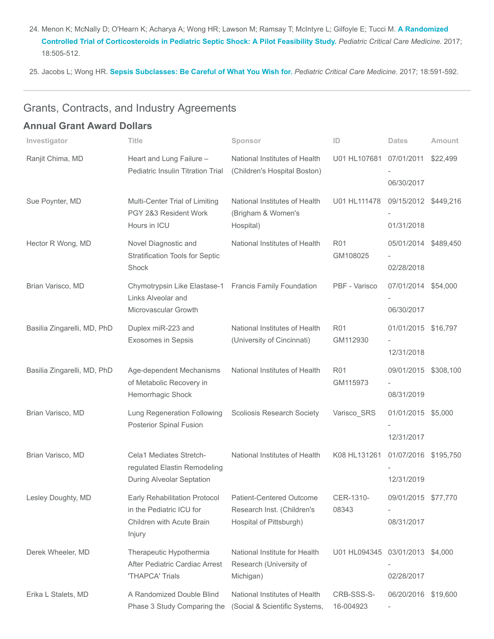24. [Menon K; McNally D; O'Hearn K; Acharya A; Wong HR; Lawson M; Ramsay T; McIntyre L; Gilfoyle E; Tucci M.](https://www.ncbi.nlm.nih.gov/pubmed/28406862) A Randomized Controlled Trial of Corticosteroids in Pediatric Septic Shock: A Pilot Feasibility Study. Pediatric Critical Care Medicine. 2017; 18:505-512.

25. Jacobs L; Wong HR. [Sepsis Subclasses: Be Careful of What You Wish for.](https://www.ncbi.nlm.nih.gov/pubmed/28574905) Pediatric Critical Care Medicine. 2017; 18:591-592.

# Grants, Contracts, and Industry Agreements

## Annual Grant Award Dollars

| Investigator                | <b>Title</b>                                                                                         | Sponsor                                                                           | ID                              | <b>Dates</b>                       | Amount   |
|-----------------------------|------------------------------------------------------------------------------------------------------|-----------------------------------------------------------------------------------|---------------------------------|------------------------------------|----------|
| Ranjit Chima, MD            | Heart and Lung Failure -<br>Pediatric Insulin Titration Trial                                        | National Institutes of Health<br>(Children's Hospital Boston)                     | U01 HL107681                    | 07/01/2011                         | \$22,499 |
|                             |                                                                                                      |                                                                                   |                                 | 06/30/2017                         |          |
| Sue Poynter, MD             | Multi-Center Trial of Limiting<br>PGY 2&3 Resident Work<br>Hours in ICU                              | National Institutes of Health<br>(Brigham & Women's<br>Hospital)                  | U01 HL111478                    | 09/15/2012 \$449,216               |          |
|                             |                                                                                                      |                                                                                   |                                 | 01/31/2018                         |          |
| Hector R Wong, MD           | Novel Diagnostic and<br><b>Stratification Tools for Septic</b><br>Shock                              | National Institutes of Health                                                     | <b>R01</b><br>GM108025          | 05/01/2014 \$489,450<br>02/28/2018 |          |
| Brian Varisco, MD           | Chymotrypsin Like Elastase-1 Francis Family Foundation<br>Links Alveolar and<br>Microvascular Growth |                                                                                   | PBF - Varisco                   | 07/01/2014 \$54,000<br>06/30/2017  |          |
| Basilia Zingarelli, MD, PhD | Duplex miR-223 and<br><b>Exosomes in Sepsis</b>                                                      | National Institutes of Health<br>(University of Cincinnati)                       | <b>R01</b><br>GM112930          | 01/01/2015 \$16,797<br>12/31/2018  |          |
| Basilia Zingarelli, MD, PhD | Age-dependent Mechanisms<br>of Metabolic Recovery in<br>Hemorrhagic Shock                            | National Institutes of Health                                                     | <b>R01</b><br>GM115973          | 09/01/2015 \$308,100<br>08/31/2019 |          |
| Brian Varisco, MD           | Lung Regeneration Following<br><b>Posterior Spinal Fusion</b>                                        | <b>Scoliosis Research Society</b>                                                 | Varisco_SRS                     | 01/01/2015 \$5,000<br>12/31/2017   |          |
| Brian Varisco, MD           | Cela1 Mediates Stretch-<br>regulated Elastin Remodeling<br>During Alveolar Septation                 | National Institutes of Health                                                     | K08 HL131261                    | 01/07/2016 \$195,750<br>12/31/2019 |          |
| Lesley Doughty, MD          | Early Rehabilitation Protocol<br>in the Pediatric ICU for<br>Children with Acute Brain<br>Injury     | Patient-Centered Outcome<br>Research Inst. (Children's<br>Hospital of Pittsburgh) | CER-1310-<br>08343              | 09/01/2015 \$77,770<br>08/31/2017  |          |
| Derek Wheeler, MD           | Therapeutic Hypothermia<br>After Pediatric Cardiac Arrest<br>'THAPCA' Trials                         | National Institute for Health<br>Research (University of<br>Michigan)             | U01 HL094345 03/01/2013 \$4,000 | 02/28/2017                         |          |
| Erika L Stalets, MD         | A Randomized Double Blind<br>Phase 3 Study Comparing the                                             | National Institutes of Health<br>(Social & Scientific Systems,                    | CRB-SSS-S-<br>16-004923         | 06/20/2016 \$19,600                |          |